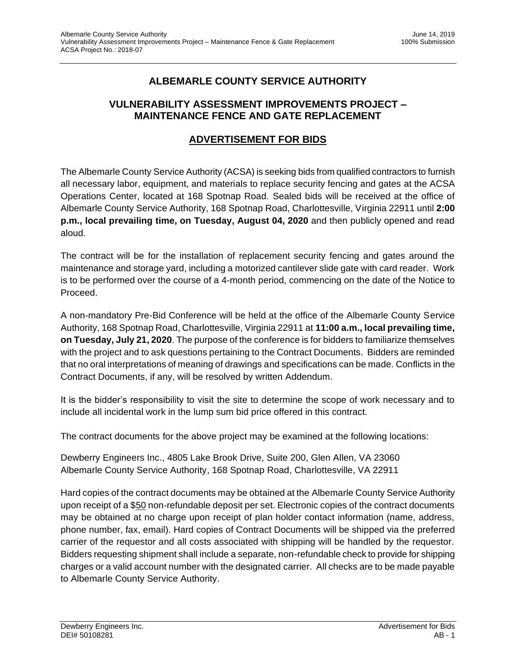## **ALBEMARLE COUNTY SERVICE AUTHORITY**

## **VULNERABILITY ASSESSMENT IMPROVEMENTS PROJECT – MAINTENANCE FENCE AND GATE REPLACEMENT**

## **ADVERTISEMENT FOR BIDS**

The Albemarle County Service Authority (ACSA) is seeking bids from qualified contractors to furnish all necessary labor, equipment, and materials to replace security fencing and gates at the ACSA Operations Center, located at 168 Spotnap Road. Sealed bids will be received at the office of Albemarle County Service Authority, 168 Spotnap Road, Charlottesville, Virginia 22911 until **2:00 p.m., local prevailing time, on Tuesday, August 04, 2020** and then publicly opened and read aloud.

The contract will be for the installation of replacement security fencing and gates around the maintenance and storage yard, including a motorized cantilever slide gate with card reader. Work is to be performed over the course of a 4-month period, commencing on the date of the Notice to Proceed.

A non-mandatory Pre-Bid Conference will be held at the office of the Albemarle County Service Authority, 168 Spotnap Road, Charlottesville, Virginia 22911 at **11:00 a.m., local prevailing time, on Tuesday, July 21, 2020**. The purpose of the conference is for bidders to familiarize themselves with the project and to ask questions pertaining to the Contract Documents. Bidders are reminded that no oral interpretations of meaning of drawings and specifications can be made. Conflicts in the Contract Documents, if any, will be resolved by written Addendum.

It is the bidder's responsibility to visit the site to determine the scope of work necessary and to include all incidental work in the lump sum bid price offered in this contract.

The contract documents for the above project may be examined at the following locations:

Dewberry Engineers Inc., 4805 Lake Brook Drive, Suite 200, Glen Allen, VA 23060 Albemarle County Service Authority, 168 Spotnap Road, Charlottesville, VA 22911

Hard copies of the contract documents may be obtained at the Albemarle County Service Authority upon receipt of a \$50 non-refundable deposit per set. Electronic copies of the contract documents may be obtained at no charge upon receipt of plan holder contact information (name, address, phone number, fax, email). Hard copies of Contract Documents will be shipped via the preferred carrier of the requestor and all costs associated with shipping will be handled by the requestor. Bidders requesting shipment shall include a separate, non-refundable check to provide for shipping charges or a valid account number with the designated carrier. All checks are to be made payable to Albemarle County Service Authority.